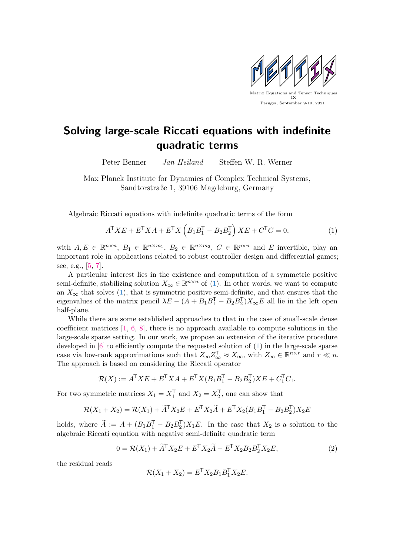

## Solving large-scale Riccati equations with indefinite quadratic terms

Peter Benner Jan Heiland Steffen W. R. Werner

Max Planck Institute for Dynamics of Complex Technical Systems, Sandtorstraße 1, 39106 Magdeburg, Germany

Algebraic Riccati equations with indefinite quadratic terms of the form

<span id="page-0-0"></span>
$$
A^{\mathsf{T}} X E + E^{\mathsf{T}} X A + E^{\mathsf{T}} X \left( B_1 B_1^{\mathsf{T}} - B_2 B_2^{\mathsf{T}} \right) X E + C^{\mathsf{T}} C = 0,\tag{1}
$$

with  $A, E \in \mathbb{R}^{n \times n}$ ,  $B_1 \in \mathbb{R}^{n \times m_1}$ ,  $B_2 \in \mathbb{R}^{n \times m_2}$ ,  $C \in \mathbb{R}^{p \times n}$  and E invertible, play an important role in applications related to robust controller design and differential games; see, e.g., [\[5,](#page-1-0) [7\]](#page-1-1).

A particular interest lies in the existence and computation of a symmetric positive semi-definite, stabilizing solution  $X_{\infty} \in \mathbb{R}^{n \times n}$  of [\(1\)](#page-0-0). In other words, we want to compute an  $X_{\infty}$  that solves [\(1\)](#page-0-0), that is symmetric positive semi-definite, and that ensures that the eigenvalues of the matrix pencil  $\lambda E - (A + B_1 B_1^{\mathsf{T}} - B_2 B_2^{\mathsf{T}}) X_{\infty} E$  all lie in the left open half-plane.

While there are some established approaches to that in the case of small-scale dense coefficient matrices  $[1, 6, 8]$  $[1, 6, 8]$  $[1, 6, 8]$  $[1, 6, 8]$  $[1, 6, 8]$ , there is no approach available to compute solutions in the large-scale sparse setting. In our work, we propose an extension of the iterative procedure developed in [\[6\]](#page-1-3) to efficiently compute the requested solution of [\(1\)](#page-0-0) in the large-scale sparse case via low-rank approximations such that  $Z_{\infty}Z_{\infty}^{\mathsf{T}} \approx X_{\infty}$ , with  $Z_{\infty} \in \mathbb{R}^{n \times r}$  and  $r \ll n$ . The approach is based on considering the Riccati operator

$$
\mathcal{R}(X) := A^{\mathsf{T}} X E + E^{\mathsf{T}} X A + E^{\mathsf{T}} X (B_1 B_1^{\mathsf{T}} - B_2 B_2^{\mathsf{T}}) X E + C_1^{\mathsf{T}} C_1.
$$

For two symmetric matrices  $X_1 = X_1^{\mathsf{T}}$  and  $X_2 = X_2^{\mathsf{T}}$ , one can show that

$$
\mathcal{R}(X_1 + X_2) = \mathcal{R}(X_1) + \widetilde{A}^\mathsf{T} X_2 E + E^\mathsf{T} X_2 \widetilde{A} + E^\mathsf{T} X_2 (B_1 B_1^\mathsf{T} - B_2 B_2^\mathsf{T}) X_2 E
$$

holds, where  $\widetilde{A} := A + (B_1B_1^{\mathsf{T}} - B_2B_2^{\mathsf{T}})X_1E$ . In the case that  $X_2$  is a solution to the algebraic Riccati equation with negative semi-definite quadratic term

<span id="page-0-1"></span>
$$
0 = \mathcal{R}(X_1) + \widetilde{A}^{\mathsf{T}} X_2 E + E^{\mathsf{T}} X_2 \widetilde{A} - E^{\mathsf{T}} X_2 B_2 B_2^{\mathsf{T}} X_2 E,\tag{2}
$$

the residual reads

$$
\mathcal{R}(X_1 + X_2) = E^{\mathsf{T}} X_2 B_1 B_1^{\mathsf{T}} X_2 E.
$$